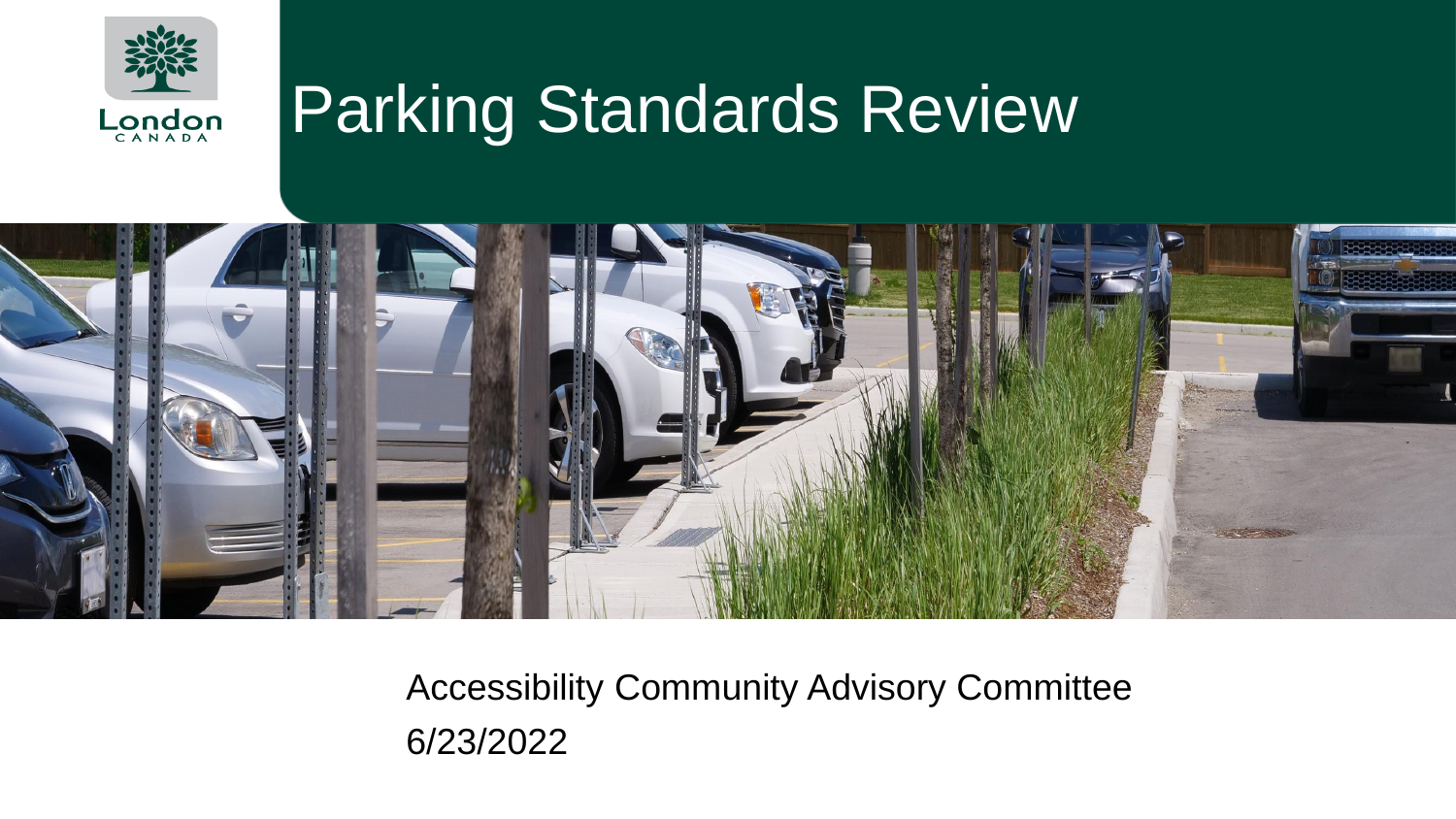

#### Parking Standards Review



Accessibility Community Advisory Committee 6/23/2022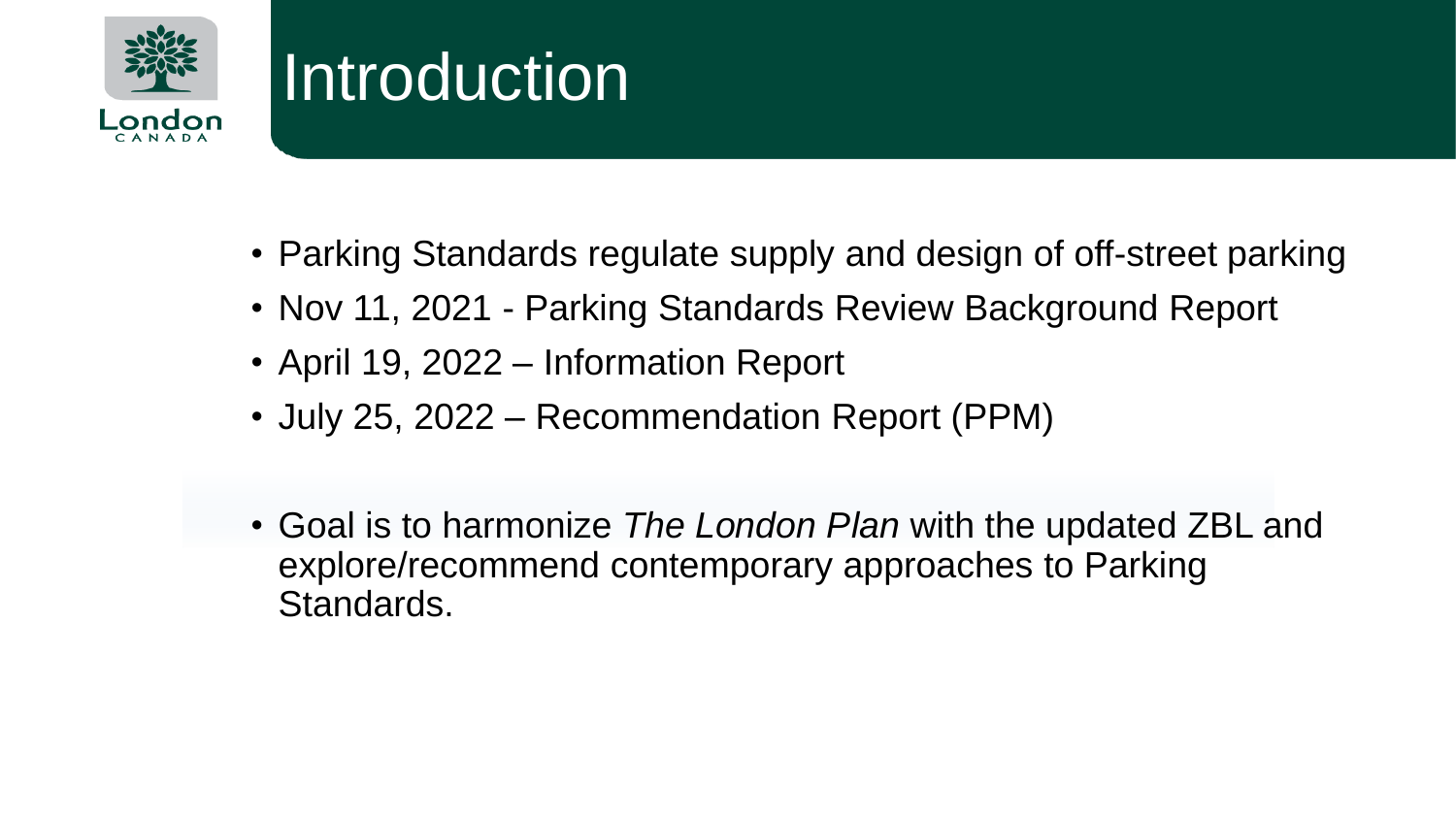

#### Introduction

- Parking Standards regulate supply and design of off-street parking
- Nov 11, 2021 Parking Standards Review Background Report
- April 19, 2022 Information Report
- July 25, 2022 Recommendation Report (PPM)
- Goal is to harmonize *The London Plan* with the updated ZBL and explore/recommend contemporary approaches to Parking Standards.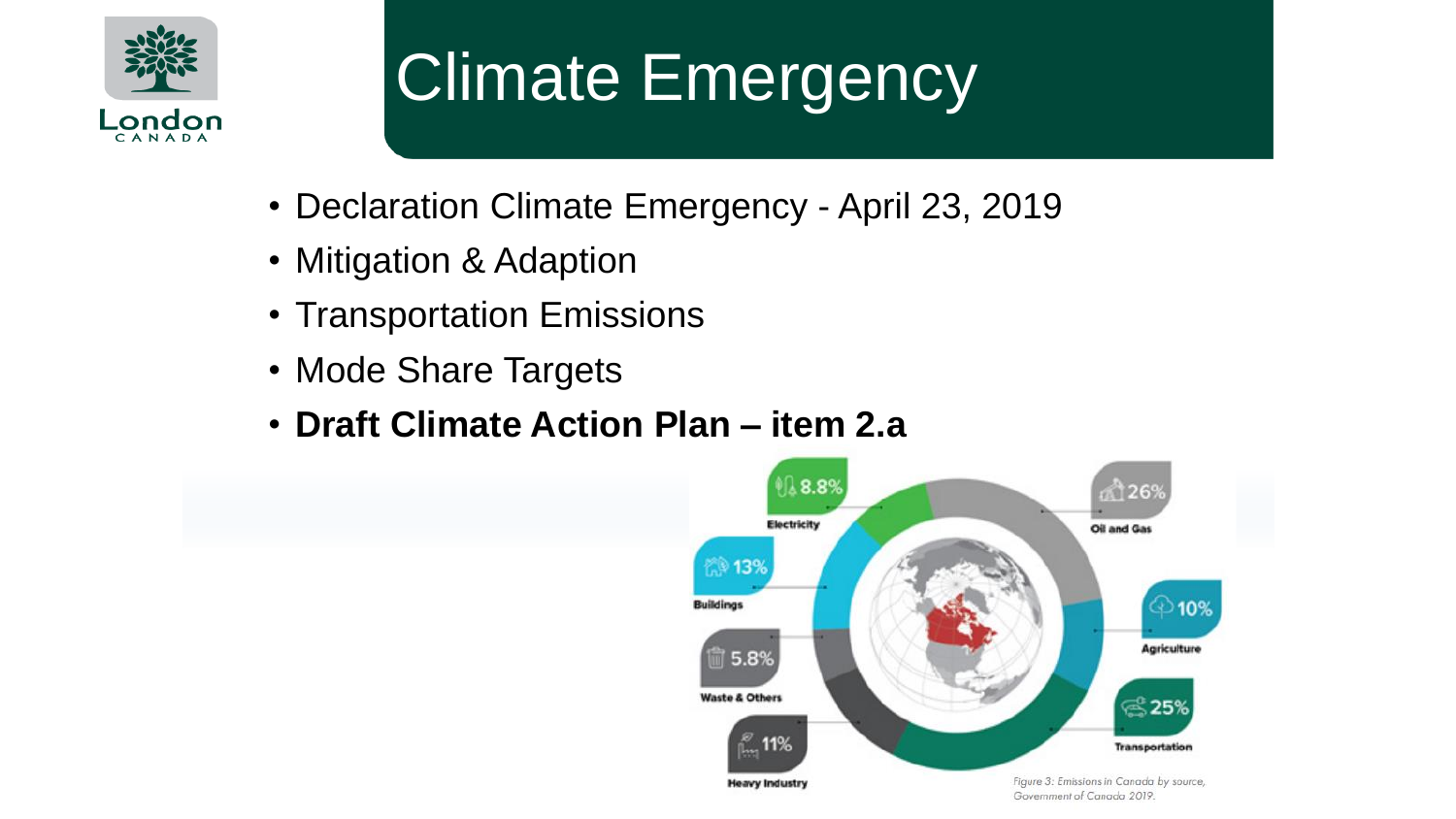

## Climate Emergency

- Declaration Climate Emergency April 23, 2019
- Mitigation & Adaption
- Transportation Emissions
- Mode Share Targets
- **Draft Climate Action Plan – item 2.a**

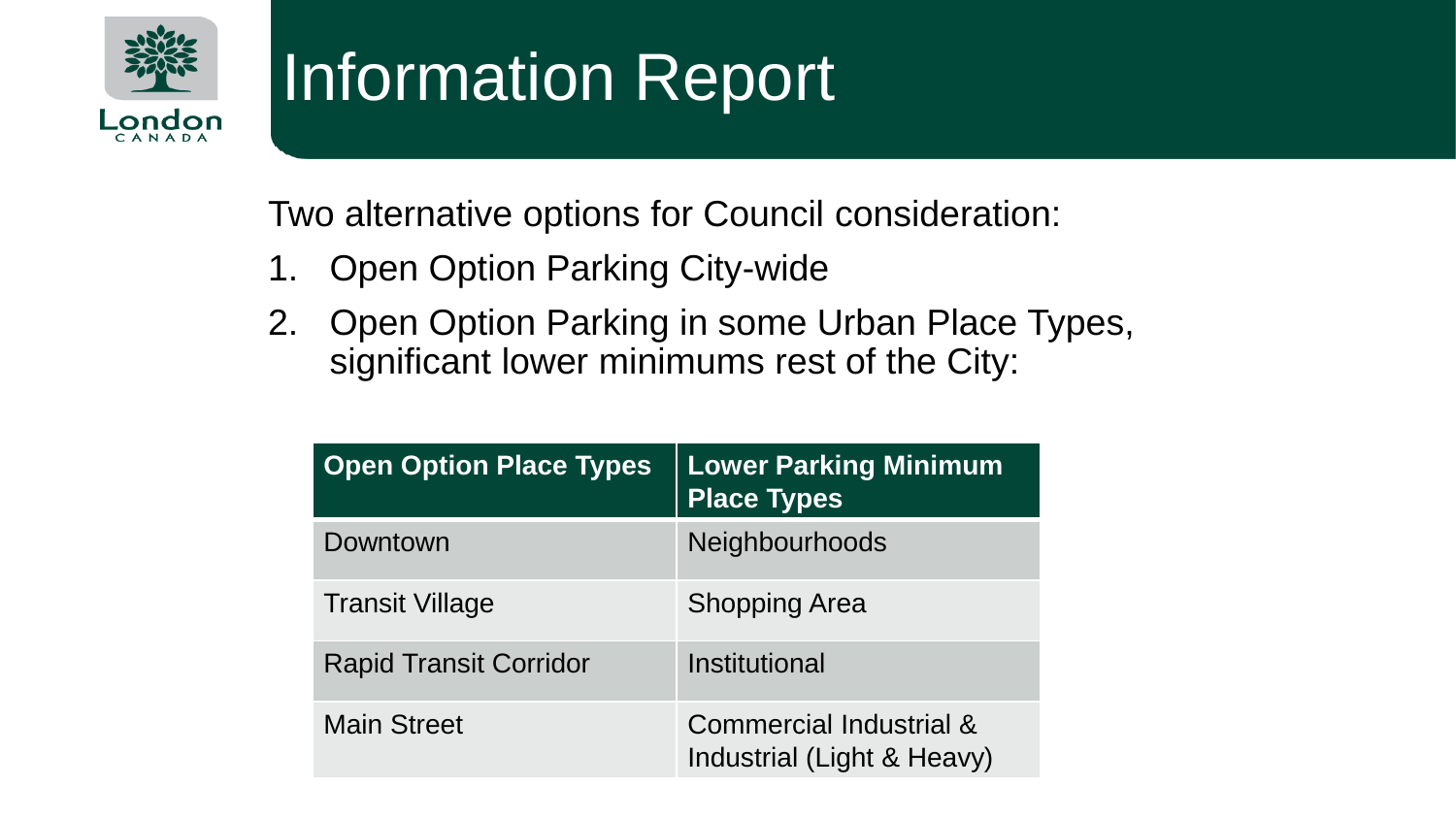

## Information Report

Two alternative options for Council consideration:

- 1. Open Option Parking City-wide
- 2. Open Option Parking in some Urban Place Types, significant lower minimums rest of the City:

| <b>Open Option Place Types</b> | <b>Lower Parking Minimum</b><br><b>Place Types</b>    |
|--------------------------------|-------------------------------------------------------|
| Downtown                       | <b>Neighbourhoods</b>                                 |
| <b>Transit Village</b>         | <b>Shopping Area</b>                                  |
| <b>Rapid Transit Corridor</b>  | Institutional                                         |
| <b>Main Street</b>             | Commercial Industrial &<br>Industrial (Light & Heavy) |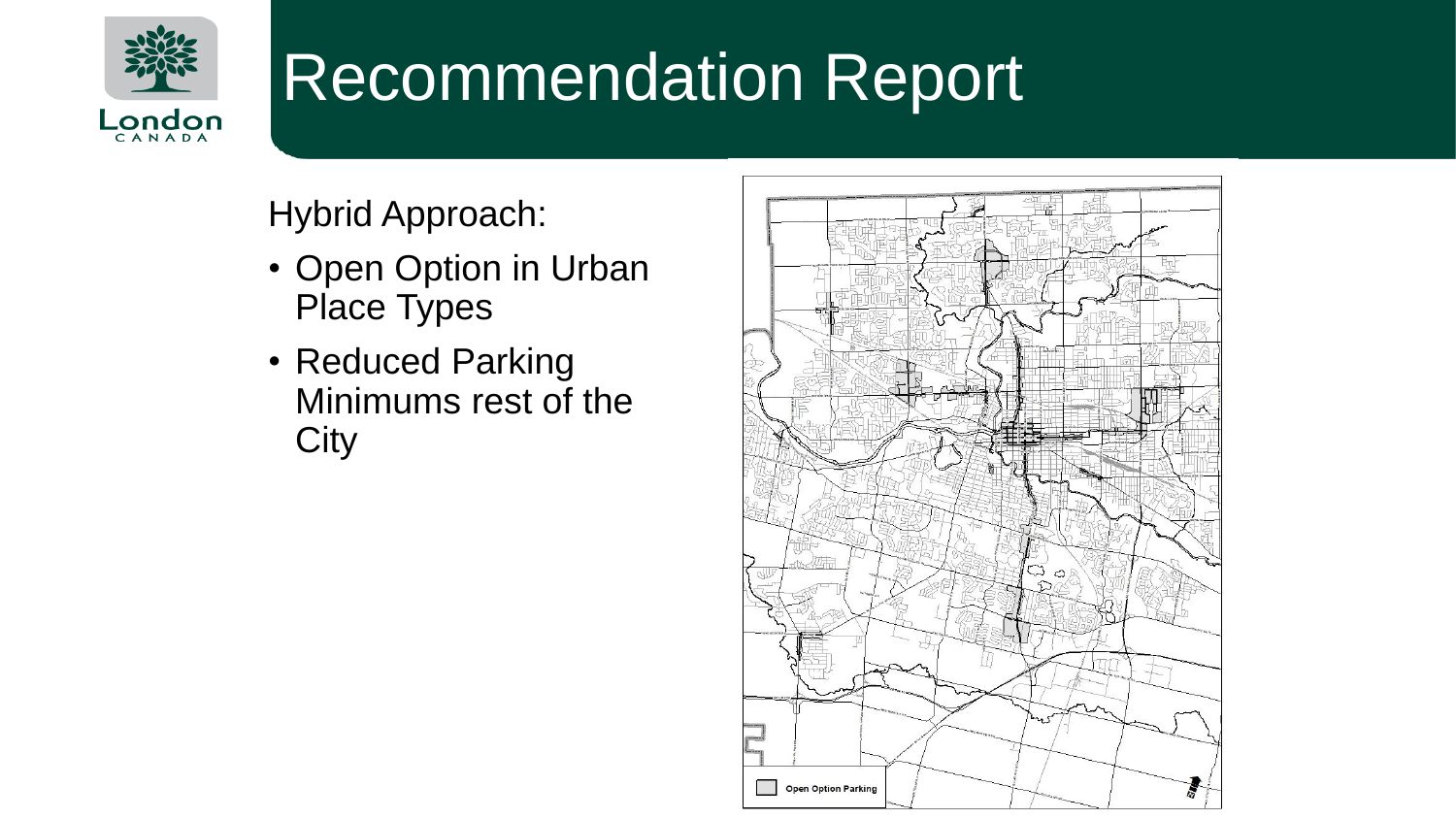

## Recommendation Report

Hybrid Approach:

- Open Option in Urban Place Types
- Reduced Parking Minimums rest of the **City**

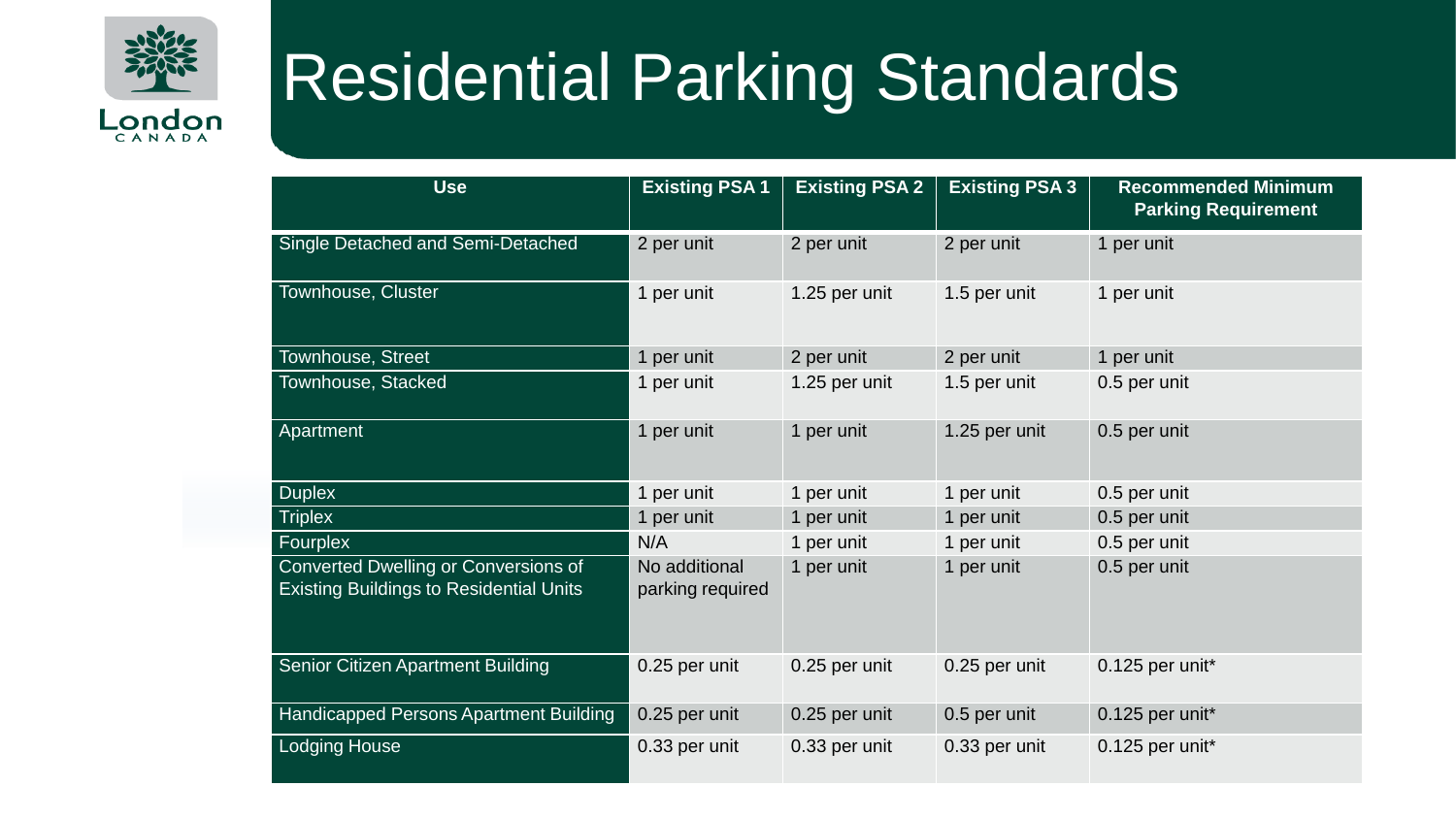

### Residential Parking Standards

| <b>Use</b>                                                                             | <b>Existing PSA1</b>              | <b>Existing PSA 2</b> | <b>Existing PSA 3</b> | <b>Recommended Minimum</b><br><b>Parking Requirement</b> |
|----------------------------------------------------------------------------------------|-----------------------------------|-----------------------|-----------------------|----------------------------------------------------------|
| Single Detached and Semi-Detached                                                      | 2 per unit                        | 2 per unit            | 2 per unit            | 1 per unit                                               |
| Townhouse, Cluster                                                                     | 1 per unit                        | 1.25 per unit         | 1.5 per unit          | 1 per unit                                               |
| Townhouse, Street                                                                      | 1 per unit                        | 2 per unit            | 2 per unit            | 1 per unit                                               |
| Townhouse, Stacked                                                                     | 1 per unit                        | 1.25 per unit         | 1.5 per unit          | 0.5 per unit                                             |
| Apartment                                                                              | 1 per unit                        | 1 per unit            | 1.25 per unit         | 0.5 per unit                                             |
| <b>Duplex</b>                                                                          | 1 per unit                        | 1 per unit            | 1 per unit            | 0.5 per unit                                             |
| <b>Triplex</b>                                                                         | 1 per unit                        | 1 per unit            | 1 per unit            | 0.5 per unit                                             |
| Fourplex                                                                               | N/A                               | 1 per unit            | 1 per unit            | 0.5 per unit                                             |
| Converted Dwelling or Conversions of<br><b>Existing Buildings to Residential Units</b> | No additional<br>parking required | 1 per unit            | 1 per unit            | 0.5 per unit                                             |
| Senior Citizen Apartment Building                                                      | 0.25 per unit                     | 0.25 per unit         | 0.25 per unit         | 0.125 per unit*                                          |
| Handicapped Persons Apartment Building                                                 | 0.25 per unit                     | 0.25 per unit         | 0.5 per unit          | 0.125 per unit*                                          |
| <b>Lodging House</b>                                                                   | 0.33 per unit                     | 0.33 per unit         | 0.33 per unit         | 0.125 per unit*                                          |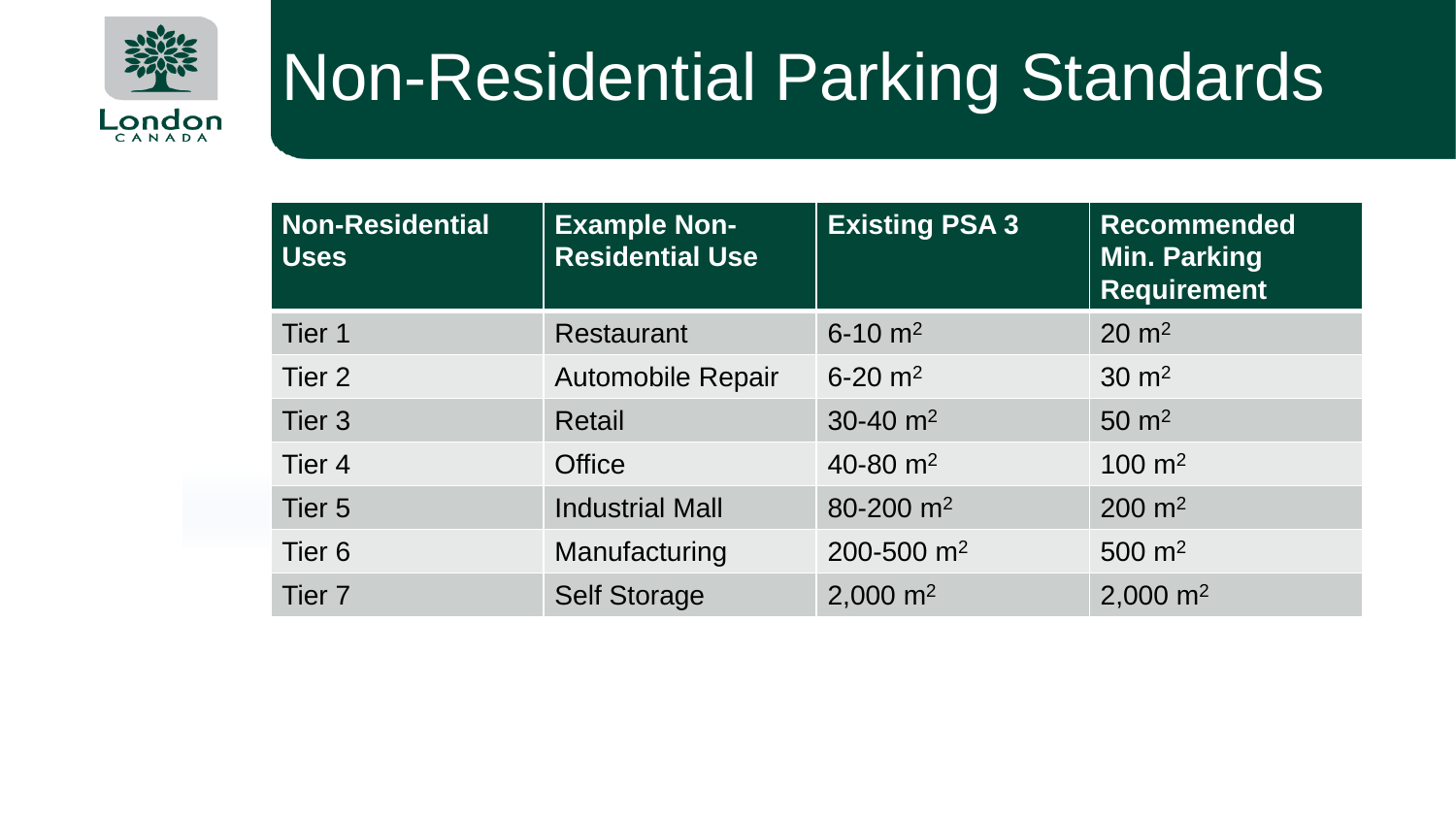

#### Non-Residential Parking Standards

| <b>Non-Residential</b><br><b>Uses</b> | <b>Example Non-</b><br><b>Residential Use</b> | <b>Existing PSA 3</b>   | <b>Recommended</b><br><b>Min. Parking</b><br><b>Requirement</b> |
|---------------------------------------|-----------------------------------------------|-------------------------|-----------------------------------------------------------------|
| Tier 1                                | <b>Restaurant</b>                             | $6 - 10$ m <sup>2</sup> | $20 \text{ m}^2$                                                |
| Tier 2                                | <b>Automobile Repair</b>                      | $6 - 20$ m <sup>2</sup> | $30 \text{ m}^2$                                                |
| Tier <sub>3</sub>                     | Retail                                        | 30-40 $\rm m^2$         | $50 \text{ m}^2$                                                |
| Tier <sub>4</sub>                     | <b>Office</b>                                 | 40-80 $m2$              | $100 \text{ m}^2$                                               |
| Tier <sub>5</sub>                     | <b>Industrial Mall</b>                        | 80-200 $m2$             | $200 \; \text{m}^2$                                             |
| Tier <sub>6</sub>                     | Manufacturing                                 | 200-500 $m2$            | 500 $m2$                                                        |
| Tier <sub>7</sub>                     | <b>Self Storage</b>                           | 2,000 $m2$              | 2,000 $m2$                                                      |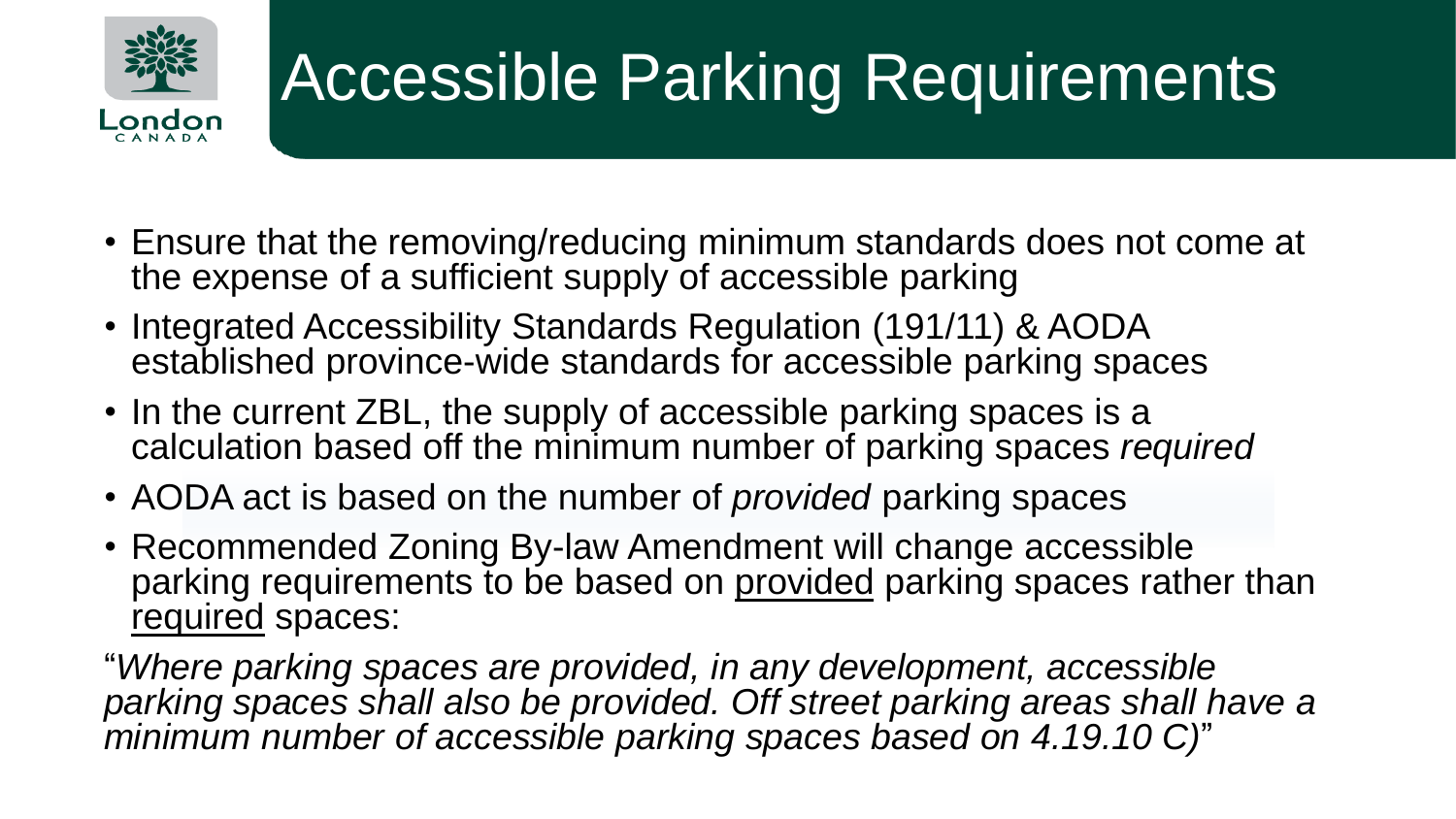

# Accessible Parking Requirements

- Ensure that the removing/reducing minimum standards does not come at the expense of a sufficient supply of accessible parking
- Integrated Accessibility Standards Regulation (191/11) & AODA established province-wide standards for accessible parking spaces
- In the current ZBL, the supply of accessible parking spaces is a calculation based off the minimum number of parking spaces *required*
- AODA act is based on the number of *provided* parking spaces
- Recommended Zoning By-law Amendment will change accessible parking requirements to be based on provided parking spaces rather than required spaces:

"*Where parking spaces are provided, in any development, accessible parking spaces shall also be provided. Off street parking areas shall have a minimum number of accessible parking spaces based on 4.19.10 C)*"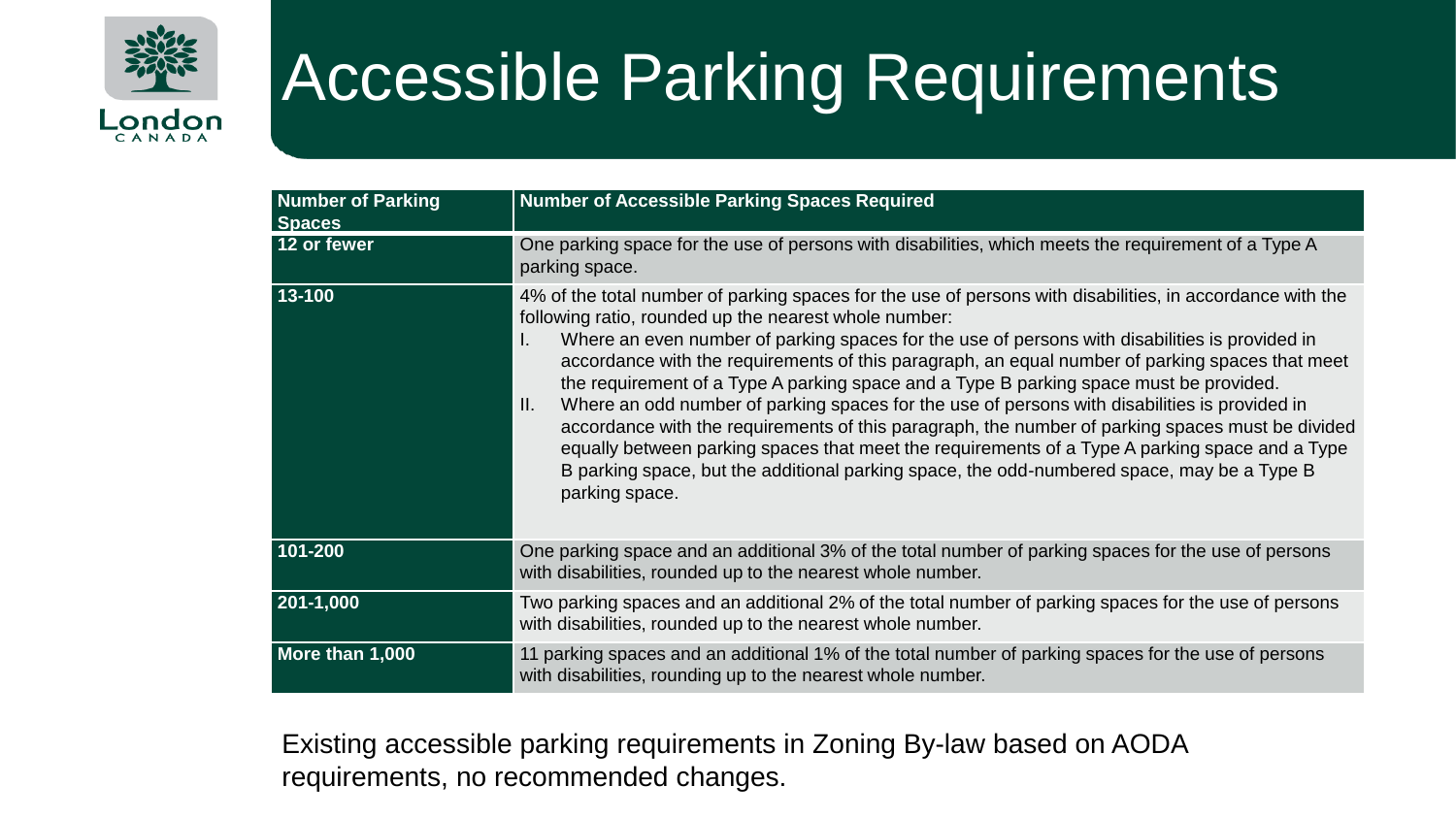

## Accessible Parking Requirements

| <b>Number of Parking</b><br><b>Spaces</b> | <b>Number of Accessible Parking Spaces Required</b>                                                                                                                                                                                                                                                                                                                                                                                                                                                                                                                                                                                                                                                                                                                                                                                                                                                  |
|-------------------------------------------|------------------------------------------------------------------------------------------------------------------------------------------------------------------------------------------------------------------------------------------------------------------------------------------------------------------------------------------------------------------------------------------------------------------------------------------------------------------------------------------------------------------------------------------------------------------------------------------------------------------------------------------------------------------------------------------------------------------------------------------------------------------------------------------------------------------------------------------------------------------------------------------------------|
| 12 or fewer                               | One parking space for the use of persons with disabilities, which meets the requirement of a Type A<br>parking space.                                                                                                                                                                                                                                                                                                                                                                                                                                                                                                                                                                                                                                                                                                                                                                                |
| 13-100                                    | 4% of the total number of parking spaces for the use of persons with disabilities, in accordance with the<br>following ratio, rounded up the nearest whole number:<br>Where an even number of parking spaces for the use of persons with disabilities is provided in<br>Ι.<br>accordance with the requirements of this paragraph, an equal number of parking spaces that meet<br>the requirement of a Type A parking space and a Type B parking space must be provided.<br>Where an odd number of parking spaces for the use of persons with disabilities is provided in<br>Ш.<br>accordance with the requirements of this paragraph, the number of parking spaces must be divided<br>equally between parking spaces that meet the requirements of a Type A parking space and a Type<br>B parking space, but the additional parking space, the odd-numbered space, may be a Type B<br>parking space. |
| 101-200                                   | One parking space and an additional 3% of the total number of parking spaces for the use of persons<br>with disabilities, rounded up to the nearest whole number.                                                                                                                                                                                                                                                                                                                                                                                                                                                                                                                                                                                                                                                                                                                                    |
| 201-1,000                                 | Two parking spaces and an additional 2% of the total number of parking spaces for the use of persons<br>with disabilities, rounded up to the nearest whole number.                                                                                                                                                                                                                                                                                                                                                                                                                                                                                                                                                                                                                                                                                                                                   |
| More than 1,000                           | 11 parking spaces and an additional 1% of the total number of parking spaces for the use of persons<br>with disabilities, rounding up to the nearest whole number.                                                                                                                                                                                                                                                                                                                                                                                                                                                                                                                                                                                                                                                                                                                                   |

Existing accessible parking requirements in Zoning By-law based on AODA requirements, no recommended changes.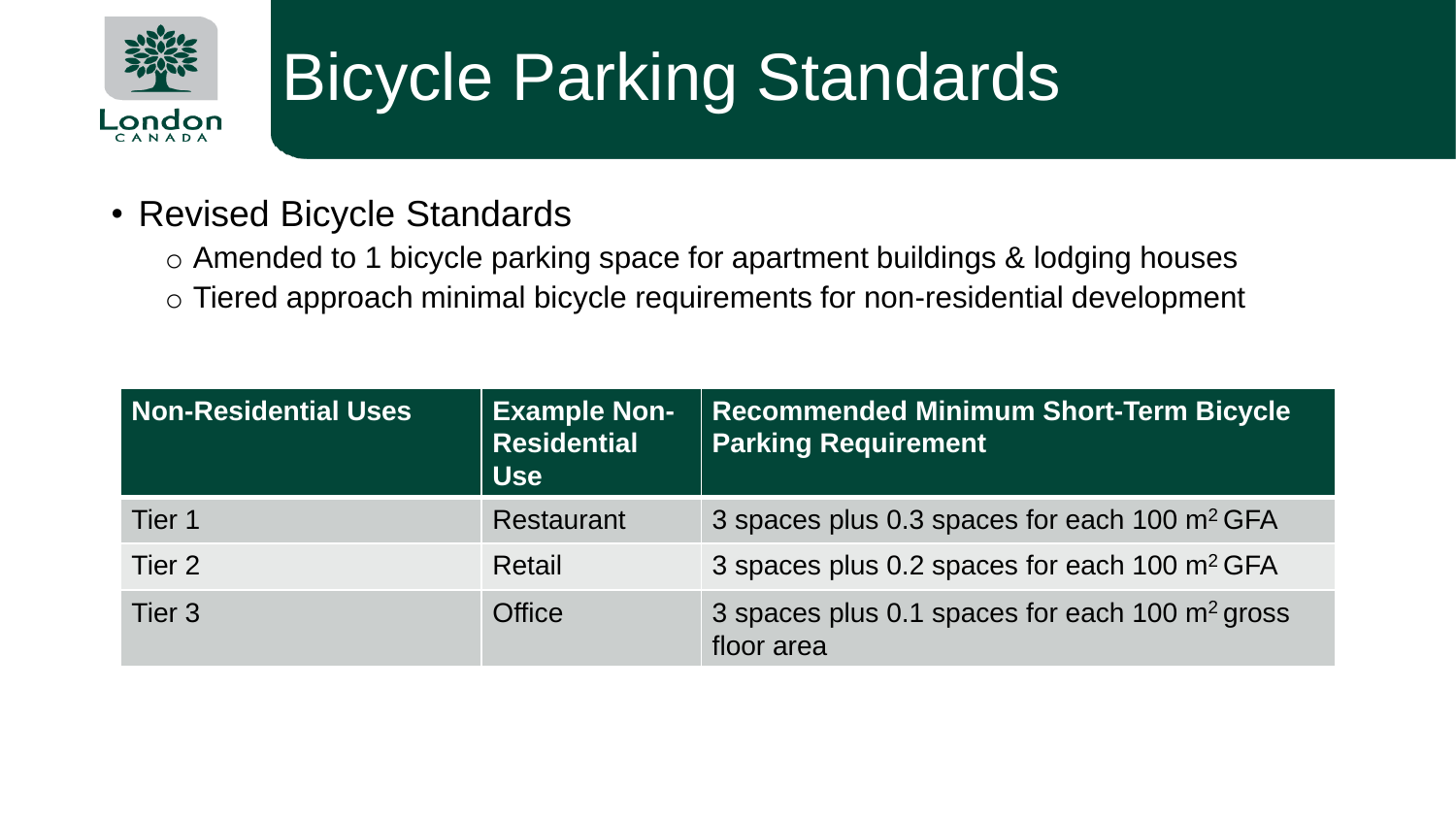

# **Bicycle Parking Standards**

#### • Revised Bicycle Standards

o Amended to 1 bicycle parking space for apartment buildings & lodging houses o Tiered approach minimal bicycle requirements for non-residential development

| <b>Non-Residential Uses</b> | <b>Example Non-</b><br><b>Residential</b><br><b>Use</b> | <b>Recommended Minimum Short-Term Bicycle</b><br><b>Parking Requirement</b> |
|-----------------------------|---------------------------------------------------------|-----------------------------------------------------------------------------|
| Tier 1                      | Restaurant                                              | 3 spaces plus 0.3 spaces for each 100 m <sup>2</sup> GFA                    |
| Tier 2                      | Retail                                                  | 3 spaces plus 0.2 spaces for each 100 m <sup>2</sup> GFA                    |
| Tier 3                      | <b>Office</b>                                           | 3 spaces plus 0.1 spaces for each 100 $\mathrm{m}^2$ gross<br>floor area    |